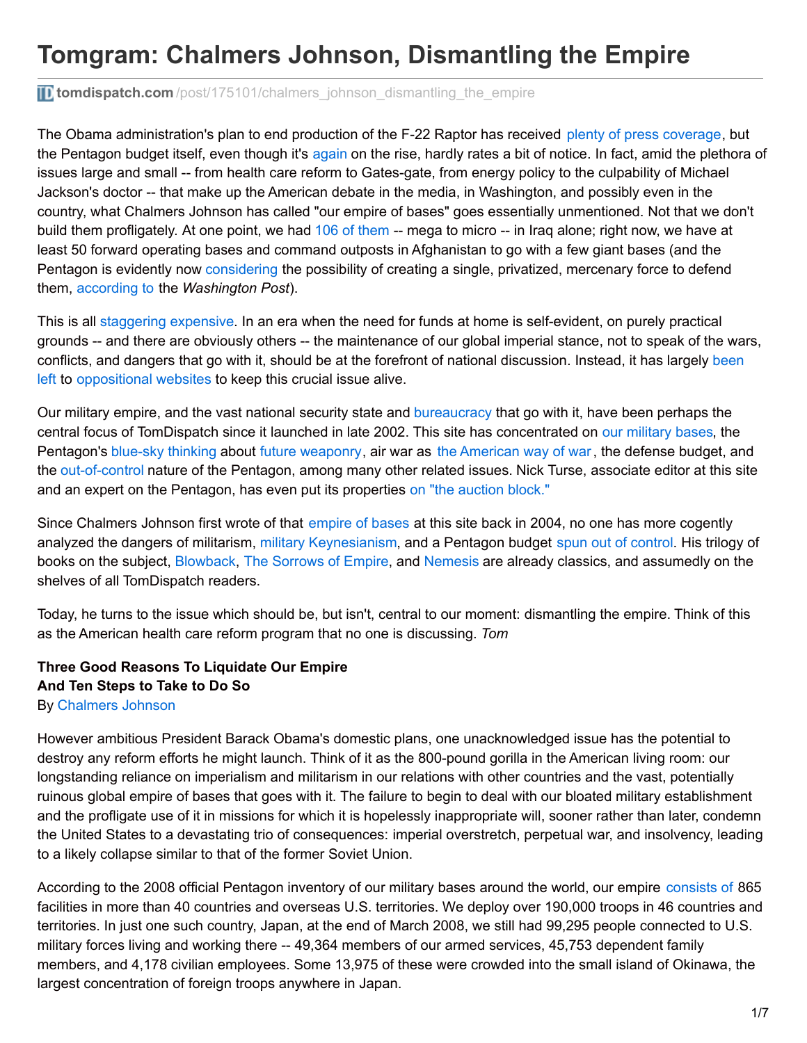# **Tomgram: Chalmers Johnson, Dismantling the Empire**

**tomdispatch.com**[/post/175101/chalmers\\_johnson\\_dismantling\\_the\\_empire](http://www.tomdispatch.com/post/175101/chalmers_johnson_dismantling_the_empire)

The Obama administration's plan to end production of the F-22 Raptor has received plenty of press [coverage](http://www.nytimes.com/2009/07/22/business/22defense.html), but the Pentagon budget itself, even though it's [again](http://www.tomdispatch.com/post/175045) on the rise, hardly rates a bit of notice. In fact, amid the plethora of issues large and small -- from health care reform to Gates-gate, from energy policy to the culpability of Michael Jackson's doctor -- that make up the American debate in the media, in Washington, and possibly even in the country, what Chalmers Johnson has called "our empire of bases" goes essentially unmentioned. Not that we don't build [them](http://www.washingtonpost.com/wp-dyn/content/article/2005/05/21/AR2005052100611_pf.html) profligately. At one point, we had 106 of them -- mega to micro -- in Iraq alone; right now, we have at least 50 forward operating bases and command outposts in Afghanistan to go with a few giant bases (and the Pentagon is evidently now [considering](http://www.wired.com/dangerroom/2009/07/us-weighs-private-army-to-protect-afghan-bases/) the possibility of creating a single, privatized, mercenary force to defend them, [according](http://www.washingtonpost.com/wp-dyn/content/article/2009/07/25/AR2009072501738.html) to the *Washington Post*).

This is all [staggering](http://www.fpif.org/fpiftxt/6231) expensive. In an era when the need for funds at home is self-evident, on purely practical grounds -- and there are obviously others -- the maintenance of our global imperial stance, not to speak of the wars, conflicts, and dangers that go with it, should be at the forefront of national [discussion.](http://www.antiwar.com/) Instead, it has largely been left to [oppositional](http://www.fpif.org/fpifzines/wb/6258) websites to keep this crucial issue alive.

Our military empire, and the vast national security state and [bureaucracy](http://www.tomdispatch.com/post/87452/proliferation_wars_in_the_intelligence_community) that go with it, have been perhaps the central focus of TomDispatch since it launched in late 2002. This site has concentrated on our [military](http://www.tomdispatch.com/post/174807/) bases, the Pentagon's [blue-sky](http://www.tomdispatch.com/post/1290/turse_on_weaponizing_the_wild_kingdom) thinking about future [weaponry](http://www.tomdispatch.com/post/175021/nick_turse_are_the_army_s_days_of_the_future_past_), air war as the [American](http://www.tomdispatch.com/post/2047/icarus_armed_with_vipers_over_iraq) way of war, the defense budget, and the [out-of-control](http://www.tomdispatch.com/post/175007) nature of the Pentagon, among many other related issues. Nick Turse, associate editor at this site and an expert on the Pentagon, has even put its properties on "the [auction](http://www.tomdispatch.com/post/174994) block."

Since Chalmers Johnson first wrote of that [empire](http://www.tomdispatch.com/post/1181/chalmers_johnson_on_garrisoning_the_planet) of bases at this site back in 2004, no one has more cogently analyzed the dangers of militarism, military [Keynesianism](http://www.tomdispatch.com/post/175029), and a Pentagon budget spun out of [control](http://www.tomdispatch.com/post/174884). His trilogy of books on the subject, [Blowback](http://www.amazon.com/dp/0805075593/ref=nosim/?tag=tomdispatch-20), The [Sorrows](http://www.amazon.com/dp/0805077979/ref=nosim/?tag=tomdispatch-20) of Empire, and [Nemesis](http://www.amazon.com/dp/0805087281/ref=nosim/?tag=tomdispatch-20) are already classics, and assumedly on the shelves of all TomDispatch readers.

Today, he turns to the issue which should be, but isn't, central to our moment: dismantling the empire. Think of this as the American health care reform program that no one is discussing. *Tom*

## **Three Good Reasons To Liquidate Our Empire And Ten Steps to Take to Do So**

By [Chalmers](http://www.tomdispatch.com/authors/chalmersjohnson) Johnson

However ambitious President Barack Obama's domestic plans, one unacknowledged issue has the potential to destroy any reform efforts he might launch. Think of it as the 800-pound gorilla in the American living room: our longstanding reliance on imperialism and militarism in our relations with other countries and the vast, potentially ruinous global empire of bases that goes with it. The failure to begin to deal with our bloated military establishment and the profligate use of it in missions for which it is hopelessly inappropriate will, sooner rather than later, condemn the United States to a devastating trio of consequences: imperial overstretch, perpetual war, and insolvency, leading to a likely collapse similar to that of the former Soviet Union.

According to the 2008 official Pentagon inventory of our military bases around the world, our empire [consists](http://www.truthdig.com/arts_culture/item/20090514_chalmers_johnson_on_the_cost_of_empire) of 865 facilities in more than 40 countries and overseas U.S. territories. We deploy over 190,000 troops in 46 countries and territories. In just one such country, Japan, at the end of March 2008, we still had 99,295 people connected to U.S. military forces living and working there -- 49,364 members of our armed services, 45,753 dependent family members, and 4,178 civilian employees. Some 13,975 of these were crowded into the small island of Okinawa, the largest concentration of foreign troops anywhere in Japan.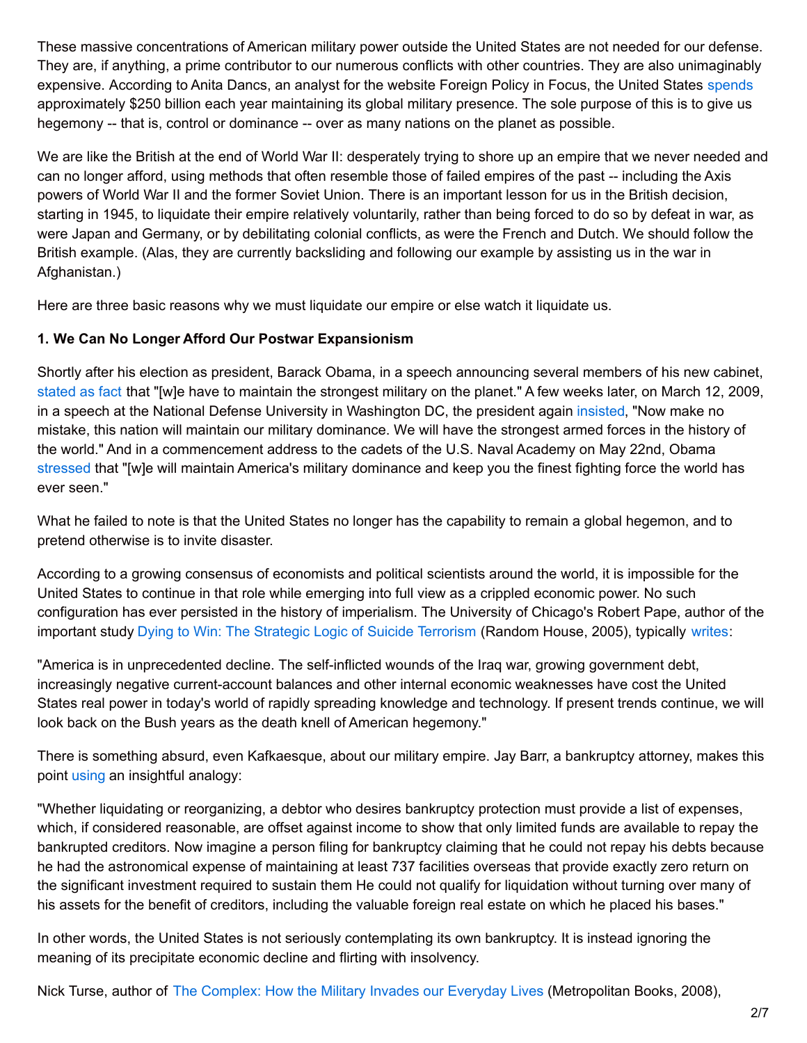These massive concentrations of American military power outside the United States are not needed for our defense. They are, if anything, a prime contributor to our numerous conflicts with other countries. They are also unimaginably expensive. According to Anita Dancs, an analyst for the website Foreign Policy in Focus, the United States [spends](http://fpif.org/fpiftxt/6231) approximately \$250 billion each year maintaining its global military presence. The sole purpose of this is to give us hegemony -- that is, control or dominance -- over as many nations on the planet as possible.

We are like the British at the end of World War II: desperately trying to shore up an empire that we never needed and can no longer afford, using methods that often resemble those of failed empires of the past -- including the Axis powers of World War II and the former Soviet Union. There is an important lesson for us in the British decision, starting in 1945, to liquidate their empire relatively voluntarily, rather than being forced to do so by defeat in war, as were Japan and Germany, or by debilitating colonial conflicts, as were the French and Dutch. We should follow the British example. (Alas, they are currently backsliding and following our example by assisting us in the war in Afghanistan.)

Here are three basic reasons why we must liquidate our empire or else watch it liquidate us.

#### **1. We Can No Longer Afford Our Postwar Expansionism**

Shortly after his election as president, Barack Obama, in a speech announcing several members of his new cabinet, [stated](http://www.telegraph.co.uk/news/worldnews/northamerica/usa/barackobama/3540167/Barack-Obama-says-US-will-maintain-strongest-military-on-planet-as-Clinton-confirmed-top-diplomat.html) as fact that "[w]e have to maintain the strongest military on the planet." A few weeks later, on March 12, 2009, in a speech at the National Defense University in Washington DC, the president again [insisted](http://www.emailthepresident.com/news/2009/03-12-obama-says-us-military-will-change-but-remain-worlds-strongest.html), "Now make no mistake, this nation will maintain our military dominance. We will have the strongest armed forces in the history of the world." And in a commencement address to the cadets of the U.S. Naval Academy on May 22nd, Obama [stressed](http://www.politico.com/news/stories/0509/22869.html) that "[w]e will maintain America's military dominance and keep you the finest fighting force the world has ever seen."

What he failed to note is that the United States no longer has the capability to remain a global hegemon, and to pretend otherwise is to invite disaster.

According to a growing consensus of economists and political scientists around the world, it is impossible for the United States to continue in that role while emerging into full view as a crippled economic power. No such configuration has ever persisted in the history of imperialism. The University of Chicago's Robert Pape, author of the important study Dying to Win: The Strategic Logic of Suicide [Terrorism](http://www.amazon.com/dp/0812973380/ref=nosim/?tag=tomdispatch-20) (Random House, 2005), typically [writes](http://www.nationalinterest.org/Article.aspx?id=20484):

"America is in unprecedented decline. The self-inflicted wounds of the Iraq war, growing government debt, increasingly negative current-account balances and other internal economic weaknesses have cost the United States real power in today's world of rapidly spreading knowledge and technology. If present trends continue, we will look back on the Bush years as the death knell of American hegemony."

There is something absurd, even Kafkaesque, about our military empire. Jay Barr, a bankruptcy attorney, makes this point [using](http://original.antiwar.com/barr/2009/04/01/calling-the-US-bankrupt-is-insulting) an insightful analogy:

"Whether liquidating or reorganizing, a debtor who desires bankruptcy protection must provide a list of expenses, which, if considered reasonable, are offset against income to show that only limited funds are available to repay the bankrupted creditors. Now imagine a person filing for bankruptcy claiming that he could not repay his debts because he had the astronomical expense of maintaining at least 737 facilities overseas that provide exactly zero return on the significant investment required to sustain them He could not qualify for liquidation without turning over many of his assets for the benefit of creditors, including the valuable foreign real estate on which he placed his bases."

In other words, the United States is not seriously contemplating its own bankruptcy. It is instead ignoring the meaning of its precipitate economic decline and flirting with insolvency.

Nick Turse, author of The [Complex:](http://www.amazon.com/dp/0805089195/ref=nosim/?tag=tomdispatch-20) How the Military Invades our Everyday Lives (Metropolitan Books, 2008),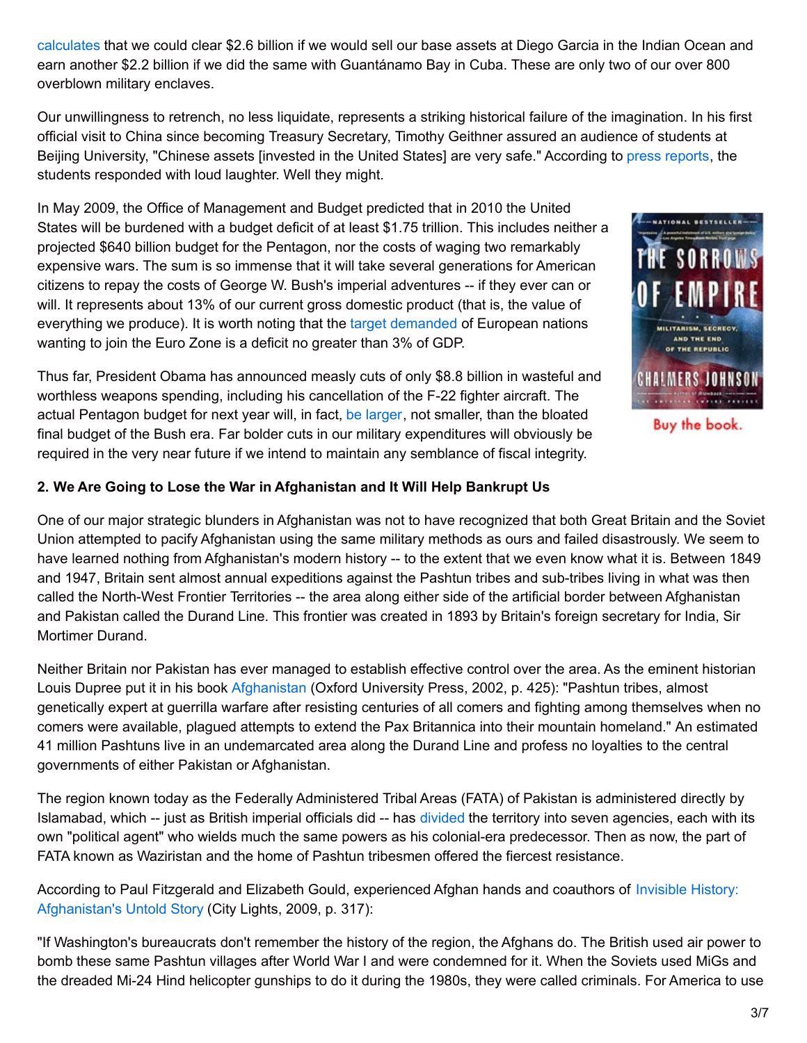[calculates](http://www.tomdispatch.com/post/174994) that we could clear \$2.6 billion if we would sell our base assets at Diego Garcia in the Indian Ocean and earn another \$2.2 billion if we did the same with Guantánamo Bay in Cuba. These are only two of our over 800 overblown military enclaves.

Our unwillingness to retrench, no less liquidate, represents a striking historical failure of the imagination. In his first official visit to China since becoming Treasury Secretary, Timothy Geithner assured an audience of students at Beijing University, "Chinese assets [invested in the United States] are very safe." According to press [reports](http://wonderlandwire.wordpress.com/2009/06/01/audience-laughs-after-geithner-tells-china-its-dollar-assets-are-safe/), the students responded with loud laughter. Well they might.

In May 2009, the Office of Management and Budget predicted that in 2010 the United States will be burdened with a budget deficit of at least \$1.75 trillion. This includes neither a projected \$640 billion budget for the Pentagon, nor the costs of waging two remarkably expensive wars. The sum is so immense that it will take several generations for American citizens to repay the costs of George W. Bush's imperial adventures -- if they ever can or will. It represents about 13% of our current gross domestic product (that is, the value of everything we produce). It is worth noting that the target [demanded](http://www.bloomberg.com/apps/news?sid=aKOzWiTDseUE&pid=20601039) of European nations wanting to join the Euro Zone is a deficit no greater than 3% of GDP.

Thus far, President Obama has announced measly cuts of only \$8.8 billion in wasteful and worthless weapons spending, including his cancellation of the F-22 fighter aircraft. The actual Pentagon budget for next year will, in fact, be [larger](http://www.tomdispatch.com/post/175045), not smaller, than the bloated final budget of the Bush era. Far bolder cuts in our military expenditures will obviously be required in the very near future if we intend to maintain any semblance of fiscal integrity.



Buy the book.

#### **2. We Are Going to Lose the War in Afghanistan and It Will Help Bankrupt Us**

One of our major strategic blunders in Afghanistan was not to have recognized that both Great Britain and the Soviet Union attempted to pacify Afghanistan using the same military methods as ours and failed disastrously. We seem to have learned nothing from Afghanistan's modern history -- to the extent that we even know what it is. Between 1849 and 1947, Britain sent almost annual expeditions against the Pashtun tribes and sub-tribes living in what was then called the North-West Frontier Territories -- the area along either side of the artificial border between Afghanistan and Pakistan called the Durand Line. This frontier was created in 1893 by Britain's foreign secretary for India, Sir Mortimer Durand.

Neither Britain nor Pakistan has ever managed to establish effective control over the area. As the eminent historian Louis Dupree put it in his book [Afghanistan](http://www.amazon.com/dp/0195776348/ref=nosim/?tag=tomdispatch-20) (Oxford University Press, 2002, p. 425): "Pashtun tribes, almost genetically expert at guerrilla warfare after resisting centuries of all comers and fighting among themselves when no comers were available, plagued attempts to extend the Pax Britannica into their mountain homeland." An estimated 41 million Pashtuns live in an undemarcated area along the Durand Line and profess no loyalties to the central governments of either Pakistan or Afghanistan.

The region known today as the Federally Administered Tribal Areas (FATA) of Pakistan is administered directly by Islamabad, which -- just as British imperial officials did -- has [divided](http://www.timesonline.co.uk/tol/news/world/asia/article6524296.ece) the territory into seven agencies, each with its own "political agent" who wields much the same powers as his colonial-era predecessor. Then as now, the part of FATA known as Waziristan and the home of Pashtun tribesmen offered the fiercest resistance.

According to Paul Fitzgerald and Elizabeth Gould, experienced Afghan hands and coauthors of Invisible History: [Afghanistan's](http://www.amazon.com/dp/0872864944/ref=nosim/?tag=tomdispatch-20) Untold Story (City Lights, 2009, p. 317):

"If Washington's bureaucrats don't remember the history of the region, the Afghans do. The British used air power to bomb these same Pashtun villages after World War I and were condemned for it. When the Soviets used MiGs and the dreaded Mi-24 Hind helicopter gunships to do it during the 1980s, they were called criminals. For America to use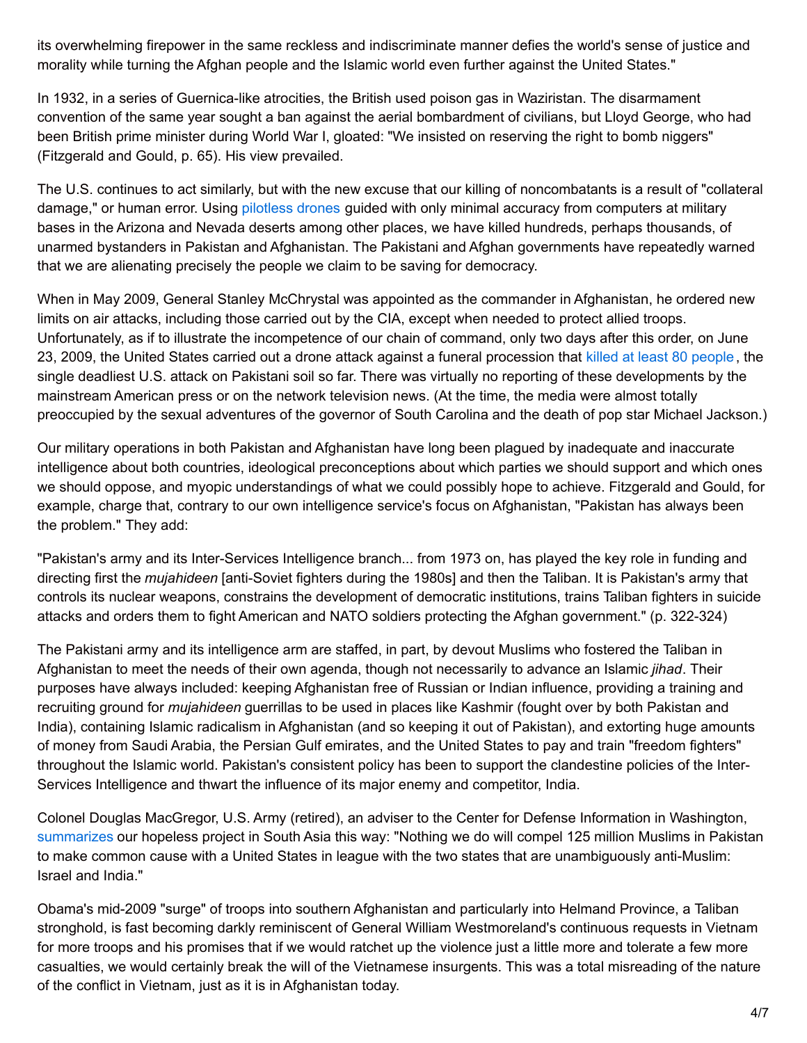its overwhelming firepower in the same reckless and indiscriminate manner defies the world's sense of justice and morality while turning the Afghan people and the Islamic world even further against the United States."

In 1932, in a series of Guernica-like atrocities, the British used poison gas in Waziristan. The disarmament convention of the same year sought a ban against the aerial bombardment of civilians, but Lloyd George, who had been British prime minister during World War I, gloated: "We insisted on reserving the right to bomb niggers" (Fitzgerald and Gould, p. 65). His view prevailed.

The U.S. continues to act similarly, but with the new excuse that our killing of noncombatants is a result of "collateral damage," or human error. Using [pilotless](http://www.tomdispatch.com/post/175056) drones guided with only minimal accuracy from computers at military bases in the Arizona and Nevada deserts among other places, we have killed hundreds, perhaps thousands, of unarmed bystanders in Pakistan and Afghanistan. The Pakistani and Afghan governments have repeatedly warned that we are alienating precisely the people we claim to be saving for democracy.

When in May 2009, General Stanley McChrystal was appointed as the commander in Afghanistan, he ordered new limits on air attacks, including those carried out by the CIA, except when needed to protect allied troops. Unfortunately, as if to illustrate the incompetence of our chain of command, only two days after this order, on June 23, 2009, the United States carried out a drone attack against a funeral procession that killed at least 80 [people](http://news.antiwar.com/2009/06/25/pakistan-expresses-concern-after-us-drone-attack-on-funeral/), the single deadliest U.S. attack on Pakistani soil so far. There was virtually no reporting of these developments by the mainstream American press or on the network television news. (At the time, the media were almost totally preoccupied by the sexual adventures of the governor of South Carolina and the death of pop star Michael Jackson.)

Our military operations in both Pakistan and Afghanistan have long been plagued by inadequate and inaccurate intelligence about both countries, ideological preconceptions about which parties we should support and which ones we should oppose, and myopic understandings of what we could possibly hope to achieve. Fitzgerald and Gould, for example, charge that, contrary to our own intelligence service's focus on Afghanistan, "Pakistan has always been the problem." They add:

"Pakistan's army and its Inter-Services Intelligence branch... from 1973 on, has played the key role in funding and directing first the *mujahideen* [anti-Soviet fighters during the 1980s] and then the Taliban. It is Pakistan's army that controls its nuclear weapons, constrains the development of democratic institutions, trains Taliban fighters in suicide attacks and orders them to fight American and NATO soldiers protecting the Afghan government." (p. 322-324)

The Pakistani army and its intelligence arm are staffed, in part, by devout Muslims who fostered the Taliban in Afghanistan to meet the needs of their own agenda, though not necessarily to advance an Islamic *jihad*. Their purposes have always included: keeping Afghanistan free of Russian or Indian influence, providing a training and recruiting ground for *mujahideen* guerrillas to be used in places like Kashmir (fought over by both Pakistan and India), containing Islamic radicalism in Afghanistan (and so keeping it out of Pakistan), and extorting huge amounts of money from Saudi Arabia, the Persian Gulf emirates, and the United States to pay and train "freedom fighters" throughout the Islamic world. Pakistan's consistent policy has been to support the clandestine policies of the Inter-Services Intelligence and thwart the influence of its major enemy and competitor, India.

Colonel Douglas MacGregor, U.S. Army (retired), an adviser to the Center for Defense Information in Washington, [summarizes](http://www.defensenews.com/story.php?i=4106190&c=FEA&s=COM) our hopeless project in South Asia this way: "Nothing we do will compel 125 million Muslims in Pakistan to make common cause with a United States in league with the two states that are unambiguously anti-Muslim: Israel and India."

Obama's mid-2009 "surge" of troops into southern Afghanistan and particularly into Helmand Province, a Taliban stronghold, is fast becoming darkly reminiscent of General William Westmoreland's continuous requests in Vietnam for more troops and his promises that if we would ratchet up the violence just a little more and tolerate a few more casualties, we would certainly break the will of the Vietnamese insurgents. This was a total misreading of the nature of the conflict in Vietnam, just as it is in Afghanistan today.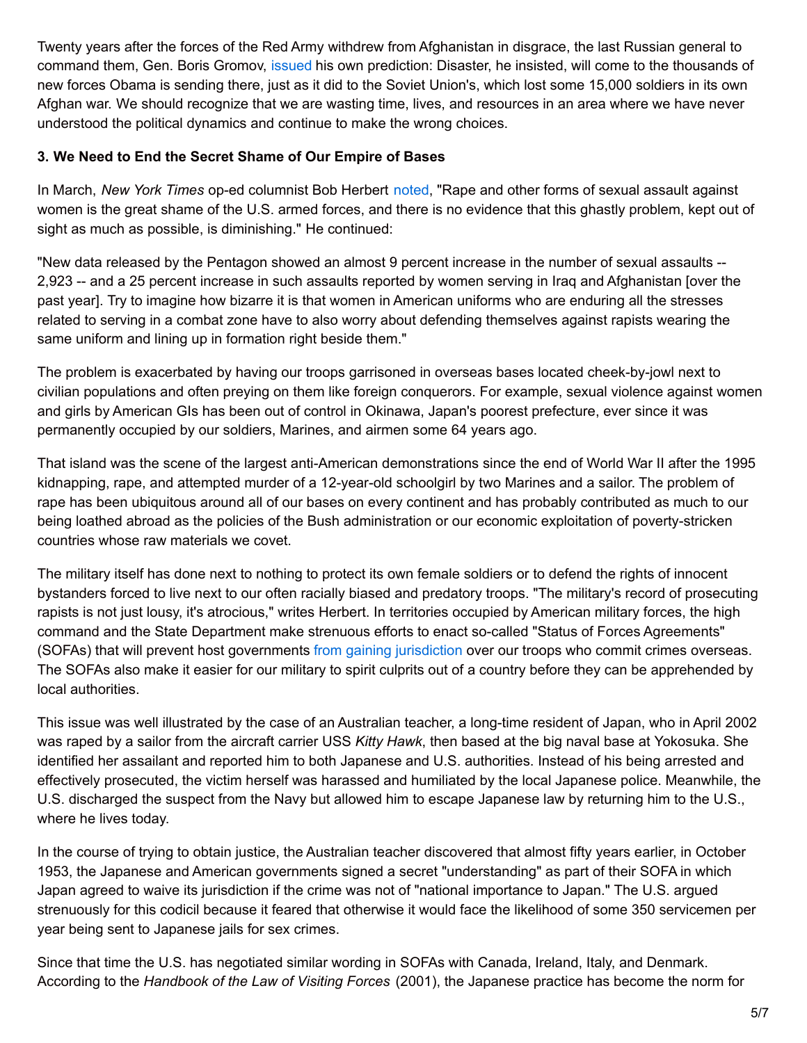Twenty years after the forces of the Red Army withdrew from Afghanistan in disgrace, the last Russian general to command them, Gen. Boris Gromov, [issued](http://abcnews.go.com/International/wireStory?id=6871280) his own prediction: Disaster, he insisted, will come to the thousands of new forces Obama is sending there, just as it did to the Soviet Union's, which lost some 15,000 soldiers in its own Afghan war. We should recognize that we are wasting time, lives, and resources in an area where we have never understood the political dynamics and continue to make the wrong choices.

#### **3. We Need to End the Secret Shame of Our Empire of Bases**

In March, *New York Times* op-ed columnist Bob Herbert [noted](http://www.nytimes.com/2009/03/21/opinion/21herbert.html), "Rape and other forms of sexual assault against women is the great shame of the U.S. armed forces, and there is no evidence that this ghastly problem, kept out of sight as much as possible, is diminishing." He continued:

"New data released by the Pentagon showed an almost 9 percent increase in the number of sexual assaults -- 2,923 -- and a 25 percent increase in such assaults reported by women serving in Iraq and Afghanistan [over the past year]. Try to imagine how bizarre it is that women in American uniforms who are enduring all the stresses related to serving in a combat zone have to also worry about defending themselves against rapists wearing the same uniform and lining up in formation right beside them."

The problem is exacerbated by having our troops garrisoned in overseas bases located cheek-by-jowl next to civilian populations and often preying on them like foreign conquerors. For example, sexual violence against women and girls by American GIs has been out of control in Okinawa, Japan's poorest prefecture, ever since it was permanently occupied by our soldiers, Marines, and airmen some 64 years ago.

That island was the scene of the largest anti-American demonstrations since the end of World War II after the 1995 kidnapping, rape, and attempted murder of a 12-year-old schoolgirl by two Marines and a sailor. The problem of rape has been ubiquitous around all of our bases on every continent and has probably contributed as much to our being loathed abroad as the policies of the Bush administration or our economic exploitation of poverty-stricken countries whose raw materials we covet.

The military itself has done next to nothing to protect its own female soldiers or to defend the rights of innocent bystanders forced to live next to our often racially biased and predatory troops. "The military's record of prosecuting rapists is not just lousy, it's atrocious," writes Herbert. In territories occupied by American military forces, the high command and the State Department make strenuous efforts to enact so-called "Status of Forces Agreements" (SOFAs) that will prevent host governments from gaining [jurisdiction](http://www.tomdispatch.com/post/1112/chalmers_johnson_on_imperial_rights) over our troops who commit crimes overseas. The SOFAs also make it easier for our military to spirit culprits out of a country before they can be apprehended by local authorities.

This issue was well illustrated by the case of an Australian teacher, a long-time resident of Japan, who in April 2002 was raped by a sailor from the aircraft carrier USS *Kitty Hawk*, then based at the big naval base at Yokosuka. She identified her assailant and reported him to both Japanese and U.S. authorities. Instead of his being arrested and effectively prosecuted, the victim herself was harassed and humiliated by the local Japanese police. Meanwhile, the U.S. discharged the suspect from the Navy but allowed him to escape Japanese law by returning him to the U.S., where he lives today.

In the course of trying to obtain justice, the Australian teacher discovered that almost fifty years earlier, in October 1953, the Japanese and American governments signed a secret "understanding" as part of their SOFA in which Japan agreed to waive its jurisdiction if the crime was not of "national importance to Japan." The U.S. argued strenuously for this codicil because it feared that otherwise it would face the likelihood of some 350 servicemen per year being sent to Japanese jails for sex crimes.

Since that time the U.S. has negotiated similar wording in SOFAs with Canada, Ireland, Italy, and Denmark. According to the *Handbook of the Law of Visiting Forces* (2001), the Japanese practice has become the norm for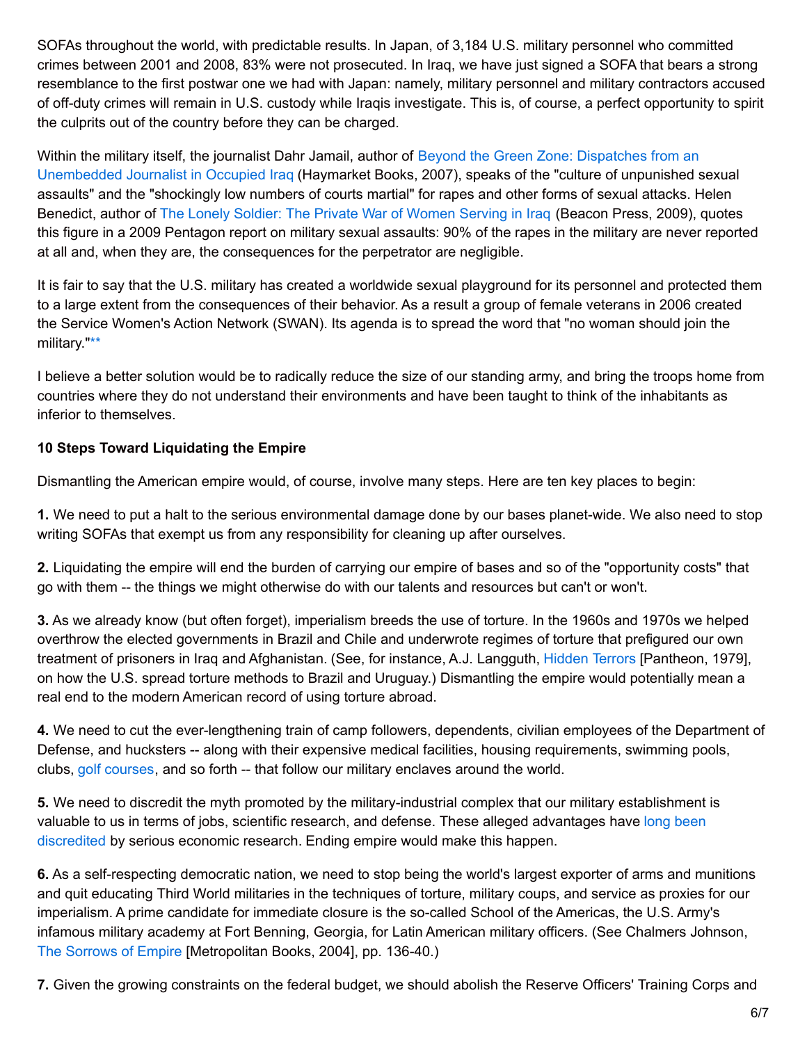SOFAs throughout the world, with predictable results. In Japan, of 3,184 U.S. military personnel who committed crimes between 2001 and 2008, 83% were not prosecuted. In Iraq, we have just signed a SOFA that bears a strong resemblance to the first postwar one we had with Japan: namely, military personnel and military contractors accused of off-duty crimes will remain in U.S. custody while Iraqis investigate. This is, of course, a perfect opportunity to spirit the culprits out of the country before they can be charged.

Within the military itself, the journalist Dahr Jamail, author of Beyond the Green Zone: Dispatches from an [Unembedded](http://www.amazon.com/dp/1931859612/ref=nosim/?tag=tomdispatch-20) Journalist in Occupied Iraq (Haymarket Books, 2007), speaks of the "culture of unpunished sexual assaults" and the "shockingly low numbers of courts martial" for rapes and other forms of sexual attacks. Helen Benedict, author of The Lonely Soldier: The Private War of [Women](http://www.amazon.com/dp/0807061476/ref=nosim/?tag=tomdispatch-20) Serving in Iraq (Beacon Press, 2009), quotes this figure in a 2009 Pentagon report on military sexual assaults: 90% of the rapes in the military are never reported at all and, when they are, the consequences for the perpetrator are negligible.

It is fair to say that the U.S. military has created a worldwide sexual playground for its personnel and protected them to a large extent from the consequences of their behavior. As a result a group of female veterans in 2006 created the Service Women's Action Network (SWAN). Its agenda is to spread the word that "no woman should join the military.["\\*\\*](http://www.tomdispatch.com/#one)

I believe a better solution would be to radically reduce the size of our standing army, and bring the troops home from countries where they do not understand their environments and have been taught to think of the inhabitants as inferior to themselves.

### **10 Steps Toward Liquidating the Empire**

Dismantling the American empire would, of course, involve many steps. Here are ten key places to begin:

**1.** We need to put a halt to the serious environmental damage done by our bases planet-wide. We also need to stop writing SOFAs that exempt us from any responsibility for cleaning up after ourselves.

**2.** Liquidating the empire will end the burden of carrying our empire of bases and so of the "opportunity costs" that go with them -- the things we might otherwise do with our talents and resources but can't or won't.

**3.** As we already know (but often forget), imperialism breeds the use of torture. In the 1960s and 1970s we helped overthrow the elected governments in Brazil and Chile and underwrote regimes of torture that prefigured our own treatment of prisoners in Iraq and Afghanistan. (See, for instance, A.J. Langguth, [Hidden](http://www.amazon.com/dp/0394738020/ref=nosim/?tag=tomdispatch-20) Terrors [Pantheon, 1979], on how the U.S. spread torture methods to Brazil and Uruguay.) Dismantling the empire would potentially mean a real end to the modern American record of using torture abroad.

**4.** We need to cut the ever-lengthening train of camp followers, dependents, civilian employees of the Department of Defense, and hucksters -- along with their expensive medical facilities, housing requirements, swimming pools, clubs, golf [courses](http://www.alternet.org/workplace/82009/the_military-leisure_golf_complex/), and so forth -- that follow our military enclaves around the world.

**5.** We need to discredit the myth promoted by the military-industrial complex that our military establishment is valuable to us in terms of jobs, scientific research, and defense. These alleged [advantages](http://www.tomdispatch.com/post/174982) have long been discredited by serious economic research. Ending empire would make this happen.

**6.** As a self-respecting democratic nation, we need to stop being the world's largest exporter of arms and munitions and quit educating Third World militaries in the techniques of torture, military coups, and service as proxies for our imperialism. A prime candidate for immediate closure is the so-called School of the Americas, the U.S. Army's infamous military academy at Fort Benning, Georgia, for Latin American military officers. (See Chalmers Johnson, The [Sorrows](http://www.amazon.com/dp/0805077979/ref=nosim/?tag=tomdispatch-20) of Empire [Metropolitan Books, 2004], pp. 136-40.)

**7.** Given the growing constraints on the federal budget, we should abolish the Reserve Officers' Training Corps and